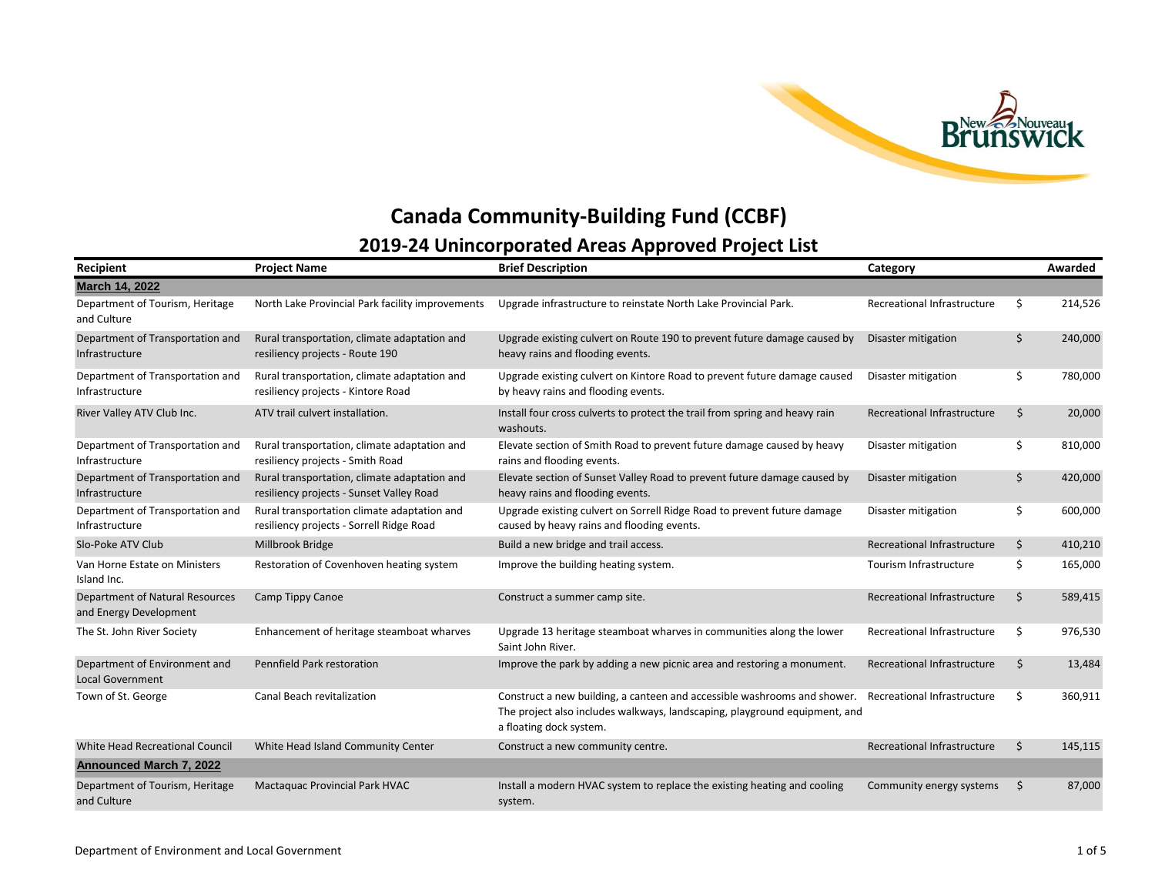

## **Canada Community-Building Fund (CCBF) 2019-24 Unincorporated Areas Approved Project List**

| Recipient                                                        | <b>Project Name</b>                                                                      | <b>Brief Description</b>                                                                                                                                                          | Category                    |    | Awarded |
|------------------------------------------------------------------|------------------------------------------------------------------------------------------|-----------------------------------------------------------------------------------------------------------------------------------------------------------------------------------|-----------------------------|----|---------|
| March 14, 2022                                                   |                                                                                          |                                                                                                                                                                                   |                             |    |         |
| Department of Tourism, Heritage<br>and Culture                   | North Lake Provincial Park facility improvements                                         | Upgrade infrastructure to reinstate North Lake Provincial Park.                                                                                                                   | Recreational Infrastructure | \$ | 214,526 |
| Department of Transportation and<br>Infrastructure               | Rural transportation, climate adaptation and<br>resiliency projects - Route 190          | Upgrade existing culvert on Route 190 to prevent future damage caused by<br>heavy rains and flooding events.                                                                      | Disaster mitigation         | \$ | 240,000 |
| Department of Transportation and<br>Infrastructure               | Rural transportation, climate adaptation and<br>resiliency projects - Kintore Road       | Upgrade existing culvert on Kintore Road to prevent future damage caused<br>by heavy rains and flooding events.                                                                   | Disaster mitigation         | \$ | 780,000 |
| River Valley ATV Club Inc.                                       | ATV trail culvert installation.                                                          | Install four cross culverts to protect the trail from spring and heavy rain<br>washouts.                                                                                          | Recreational Infrastructure | Ŝ. | 20,000  |
| Department of Transportation and<br>Infrastructure               | Rural transportation, climate adaptation and<br>resiliency projects - Smith Road         | Elevate section of Smith Road to prevent future damage caused by heavy<br>rains and flooding events.                                                                              | Disaster mitigation         | \$ | 810,000 |
| Department of Transportation and<br>Infrastructure               | Rural transportation, climate adaptation and<br>resiliency projects - Sunset Valley Road | Elevate section of Sunset Valley Road to prevent future damage caused by<br>heavy rains and flooding events.                                                                      | Disaster mitigation         | \$ | 420,000 |
| Department of Transportation and<br>Infrastructure               | Rural transportation climate adaptation and<br>resiliency projects - Sorrell Ridge Road  | Upgrade existing culvert on Sorrell Ridge Road to prevent future damage<br>caused by heavy rains and flooding events.                                                             | Disaster mitigation         | \$ | 600,000 |
| Slo-Poke ATV Club                                                | Millbrook Bridge                                                                         | Build a new bridge and trail access.                                                                                                                                              | Recreational Infrastructure | \$ | 410,210 |
| Van Horne Estate on Ministers<br>Island Inc.                     | Restoration of Covenhoven heating system                                                 | Improve the building heating system.                                                                                                                                              | Tourism Infrastructure      | Ŝ. | 165,000 |
| <b>Department of Natural Resources</b><br>and Energy Development | Camp Tippy Canoe                                                                         | Construct a summer camp site.                                                                                                                                                     | Recreational Infrastructure | Ś. | 589,415 |
| The St. John River Society                                       | Enhancement of heritage steamboat wharves                                                | Upgrade 13 heritage steamboat wharves in communities along the lower<br>Saint John River.                                                                                         | Recreational Infrastructure | Ŝ. | 976,530 |
| Department of Environment and<br><b>Local Government</b>         | Pennfield Park restoration                                                               | Improve the park by adding a new picnic area and restoring a monument.                                                                                                            | Recreational Infrastructure | Ŝ. | 13,484  |
| Town of St. George                                               | Canal Beach revitalization                                                               | Construct a new building, a canteen and accessible washrooms and shower.<br>The project also includes walkways, landscaping, playground equipment, and<br>a floating dock system. | Recreational Infrastructure | Ŝ. | 360,911 |
| <b>White Head Recreational Council</b>                           | White Head Island Community Center                                                       | Construct a new community centre.                                                                                                                                                 | Recreational Infrastructure | Ŝ. | 145,115 |
| <b>Announced March 7, 2022</b>                                   |                                                                                          |                                                                                                                                                                                   |                             |    |         |
| Department of Tourism, Heritage<br>and Culture                   | <b>Mactaguac Provincial Park HVAC</b>                                                    | Install a modern HVAC system to replace the existing heating and cooling<br>system.                                                                                               | Community energy systems    | S. | 87,000  |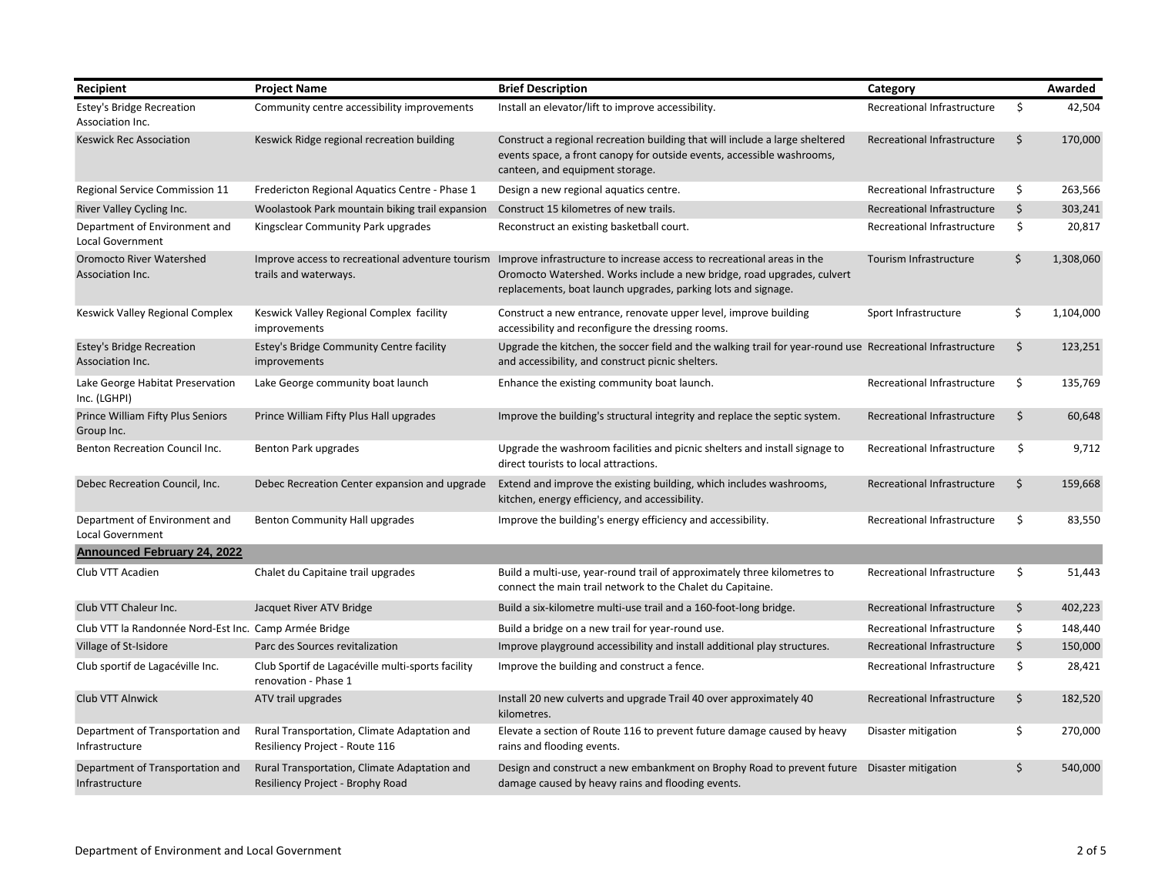| Recipient                                                | <b>Project Name</b>                                                              | <b>Brief Description</b>                                                                                                                                                                                          | Category                    |         | Awarded   |
|----------------------------------------------------------|----------------------------------------------------------------------------------|-------------------------------------------------------------------------------------------------------------------------------------------------------------------------------------------------------------------|-----------------------------|---------|-----------|
| <b>Estey's Bridge Recreation</b><br>Association Inc.     | Community centre accessibility improvements                                      | Install an elevator/lift to improve accessibility.                                                                                                                                                                | Recreational Infrastructure | \$      | 42,504    |
| <b>Keswick Rec Association</b>                           | Keswick Ridge regional recreation building                                       | Construct a regional recreation building that will include a large sheltered<br>events space, a front canopy for outside events, accessible washrooms,<br>canteen, and equipment storage.                         | Recreational Infrastructure | \$      | 170,000   |
| Regional Service Commission 11                           | Fredericton Regional Aquatics Centre - Phase 1                                   | Design a new regional aquatics centre.                                                                                                                                                                            | Recreational Infrastructure | \$.     | 263,566   |
| River Valley Cycling Inc.                                | Woolastook Park mountain biking trail expansion                                  | Construct 15 kilometres of new trails.                                                                                                                                                                            | Recreational Infrastructure | \$      | 303,241   |
| Department of Environment and<br><b>Local Government</b> | Kingsclear Community Park upgrades                                               | Reconstruct an existing basketball court.                                                                                                                                                                         | Recreational Infrastructure | \$      | 20,817    |
| <b>Oromocto River Watershed</b><br>Association Inc.      | Improve access to recreational adventure tourism<br>trails and waterways.        | Improve infrastructure to increase access to recreational areas in the<br>Oromocto Watershed. Works include a new bridge, road upgrades, culvert<br>replacements, boat launch upgrades, parking lots and signage. | Tourism Infrastructure      | \$      | 1,308,060 |
| Keswick Valley Regional Complex                          | Keswick Valley Regional Complex facility<br>improvements                         | Construct a new entrance, renovate upper level, improve building<br>accessibility and reconfigure the dressing rooms.                                                                                             | Sport Infrastructure        | \$      | 1,104,000 |
| <b>Estey's Bridge Recreation</b><br>Association Inc.     | Estey's Bridge Community Centre facility<br>improvements                         | Upgrade the kitchen, the soccer field and the walking trail for year-round use Recreational Infrastructure<br>and accessibility, and construct picnic shelters.                                                   |                             | \$      | 123,251   |
| Lake George Habitat Preservation<br>Inc. (LGHPI)         | Lake George community boat launch                                                | Enhance the existing community boat launch.                                                                                                                                                                       | Recreational Infrastructure | \$      | 135,769   |
| Prince William Fifty Plus Seniors<br>Group Inc.          | Prince William Fifty Plus Hall upgrades                                          | Improve the building's structural integrity and replace the septic system.                                                                                                                                        | Recreational Infrastructure | \$      | 60,648    |
| Benton Recreation Council Inc.                           | Benton Park upgrades                                                             | Upgrade the washroom facilities and picnic shelters and install signage to<br>direct tourists to local attractions.                                                                                               | Recreational Infrastructure | \$      | 9,712     |
| Debec Recreation Council, Inc.                           | Debec Recreation Center expansion and upgrade                                    | Extend and improve the existing building, which includes washrooms,<br>kitchen, energy efficiency, and accessibility.                                                                                             | Recreational Infrastructure | \$      | 159,668   |
| Department of Environment and<br><b>Local Government</b> | Benton Community Hall upgrades                                                   | Improve the building's energy efficiency and accessibility.                                                                                                                                                       | Recreational Infrastructure | -\$     | 83,550    |
| <b>Announced February 24, 2022</b>                       |                                                                                  |                                                                                                                                                                                                                   |                             |         |           |
| Club VTT Acadien                                         | Chalet du Capitaine trail upgrades                                               | Build a multi-use, year-round trail of approximately three kilometres to<br>connect the main trail network to the Chalet du Capitaine.                                                                            | Recreational Infrastructure | \$      | 51,443    |
| Club VTT Chaleur Inc.                                    | Jacquet River ATV Bridge                                                         | Build a six-kilometre multi-use trail and a 160-foot-long bridge.                                                                                                                                                 | Recreational Infrastructure | \$      | 402,223   |
| Club VTT la Randonnée Nord-Est Inc. Camp Armée Bridge    |                                                                                  | Build a bridge on a new trail for year-round use.                                                                                                                                                                 | Recreational Infrastructure | \$      | 148,440   |
| Village of St-Isidore                                    | Parc des Sources revitalization                                                  | Improve playground accessibility and install additional play structures.                                                                                                                                          | Recreational Infrastructure | $\zeta$ | 150,000   |
| Club sportif de Lagacéville Inc.                         | Club Sportif de Lagacéville multi-sports facility<br>renovation - Phase 1        | Improve the building and construct a fence.                                                                                                                                                                       | Recreational Infrastructure | \$      | 28,421    |
| Club VTT Alnwick                                         | ATV trail upgrades                                                               | Install 20 new culverts and upgrade Trail 40 over approximately 40<br>kilometres.                                                                                                                                 | Recreational Infrastructure | \$      | 182,520   |
| Department of Transportation and<br>Infrastructure       | Rural Transportation, Climate Adaptation and<br>Resiliency Project - Route 116   | Elevate a section of Route 116 to prevent future damage caused by heavy<br>rains and flooding events.                                                                                                             | Disaster mitigation         | \$      | 270,000   |
| Department of Transportation and<br>Infrastructure       | Rural Transportation, Climate Adaptation and<br>Resiliency Project - Brophy Road | Design and construct a new embankment on Brophy Road to prevent future Disaster mitigation<br>damage caused by heavy rains and flooding events.                                                                   |                             | \$      | 540,000   |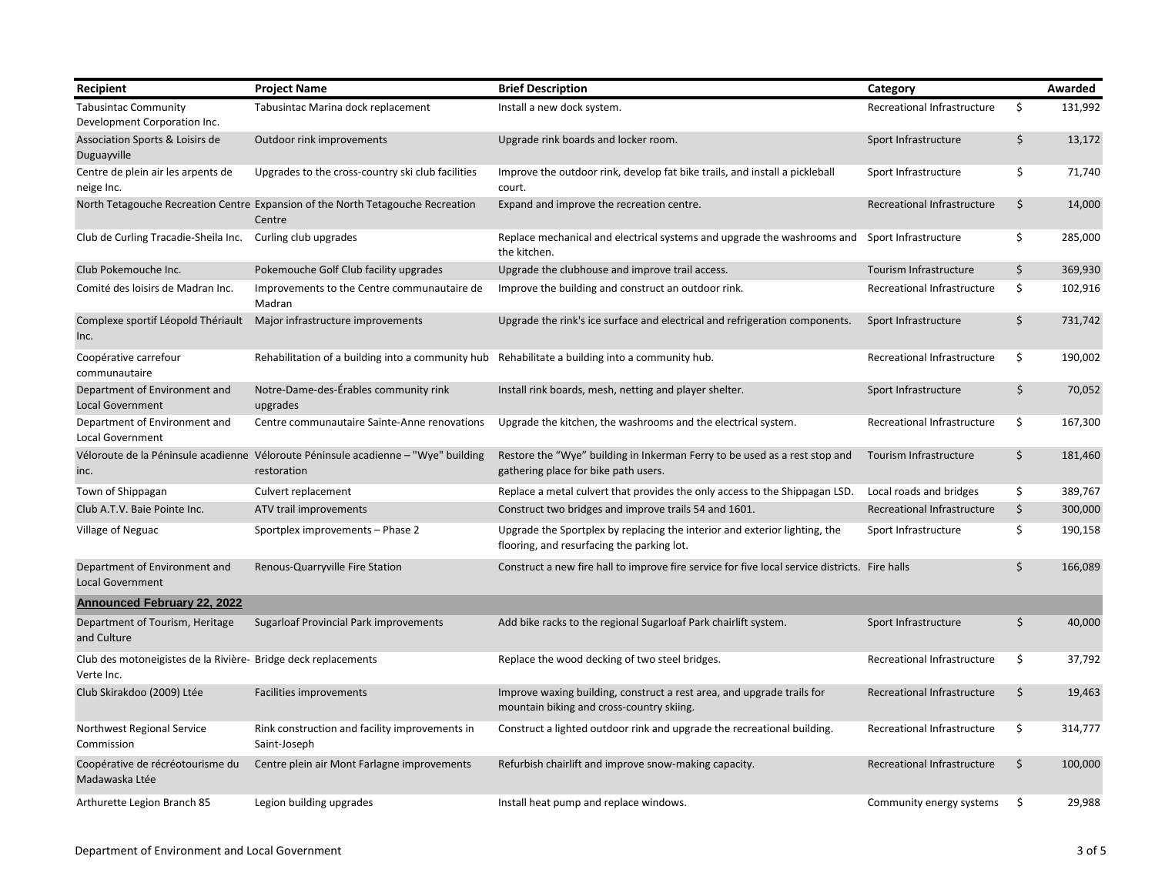| Recipient                                                                    | <b>Project Name</b>                                                                               | <b>Brief Description</b>                                                                                                 | Category                    |         | Awarded |
|------------------------------------------------------------------------------|---------------------------------------------------------------------------------------------------|--------------------------------------------------------------------------------------------------------------------------|-----------------------------|---------|---------|
| <b>Tabusintac Community</b><br>Development Corporation Inc.                  | Tabusintac Marina dock replacement                                                                | Install a new dock system.                                                                                               | Recreational Infrastructure | \$      | 131,992 |
| Association Sports & Loisirs de<br>Duguayville                               | Outdoor rink improvements                                                                         | Upgrade rink boards and locker room.                                                                                     | Sport Infrastructure        | \$      | 13,172  |
| Centre de plein air les arpents de<br>neige Inc.                             | Upgrades to the cross-country ski club facilities                                                 | Improve the outdoor rink, develop fat bike trails, and install a pickleball<br>court.                                    | Sport Infrastructure        | \$      | 71,740  |
|                                                                              | North Tetagouche Recreation Centre Expansion of the North Tetagouche Recreation<br>Centre         | Expand and improve the recreation centre.                                                                                | Recreational Infrastructure | \$      | 14,000  |
| Club de Curling Tracadie-Sheila Inc.                                         | Curling club upgrades                                                                             | Replace mechanical and electrical systems and upgrade the washrooms and<br>the kitchen.                                  | Sport Infrastructure        | \$      | 285,000 |
| Club Pokemouche Inc.                                                         | Pokemouche Golf Club facility upgrades                                                            | Upgrade the clubhouse and improve trail access.                                                                          | Tourism Infrastructure      | $\zeta$ | 369,930 |
| Comité des loisirs de Madran Inc.                                            | Improvements to the Centre communautaire de<br>Madran                                             | Improve the building and construct an outdoor rink.                                                                      | Recreational Infrastructure | \$      | 102,916 |
| Inc.                                                                         | Complexe sportif Léopold Thériault Major infrastructure improvements                              | Upgrade the rink's ice surface and electrical and refrigeration components.                                              | Sport Infrastructure        | \$      | 731,742 |
| Coopérative carrefour<br>communautaire                                       | Rehabilitation of a building into a community hub                                                 | Rehabilitate a building into a community hub.                                                                            | Recreational Infrastructure | \$      | 190,002 |
| Department of Environment and<br><b>Local Government</b>                     | Notre-Dame-des-Érables community rink<br>upgrades                                                 | Install rink boards, mesh, netting and player shelter.                                                                   | Sport Infrastructure        | \$      | 70,052  |
| Department of Environment and<br><b>Local Government</b>                     | Centre communautaire Sainte-Anne renovations                                                      | Upgrade the kitchen, the washrooms and the electrical system.                                                            | Recreational Infrastructure | \$      | 167,300 |
| inc.                                                                         | Véloroute de la Péninsule acadienne Véloroute Péninsule acadienne - "Wye" building<br>restoration | Restore the "Wye" building in Inkerman Ferry to be used as a rest stop and<br>gathering place for bike path users.       | Tourism Infrastructure      | \$      | 181,460 |
| Town of Shippagan                                                            | Culvert replacement                                                                               | Replace a metal culvert that provides the only access to the Shippagan LSD.                                              | Local roads and bridges     | \$      | 389,767 |
| Club A.T.V. Baie Pointe Inc.                                                 | ATV trail improvements                                                                            | Construct two bridges and improve trails 54 and 1601.                                                                    | Recreational Infrastructure | \$      | 300,000 |
| Village of Neguac                                                            | Sportplex improvements - Phase 2                                                                  | Upgrade the Sportplex by replacing the interior and exterior lighting, the<br>flooring, and resurfacing the parking lot. | Sport Infrastructure        | \$      | 190,158 |
| Department of Environment and<br><b>Local Government</b>                     | Renous-Quarryville Fire Station                                                                   | Construct a new fire hall to improve fire service for five local service districts. Fire halls                           |                             | \$      | 166,089 |
| <b>Announced February 22, 2022</b>                                           |                                                                                                   |                                                                                                                          |                             |         |         |
| Department of Tourism, Heritage<br>and Culture                               | Sugarloaf Provincial Park improvements                                                            | Add bike racks to the regional Sugarloaf Park chairlift system.                                                          | Sport Infrastructure        | \$      | 40,000  |
| Club des motoneigistes de la Rivière- Bridge deck replacements<br>Verte Inc. |                                                                                                   | Replace the wood decking of two steel bridges.                                                                           | Recreational Infrastructure | \$      | 37,792  |
| Club Skirakdoo (2009) Ltée                                                   | Facilities improvements                                                                           | Improve waxing building, construct a rest area, and upgrade trails for<br>mountain biking and cross-country skiing.      | Recreational Infrastructure | $\zeta$ | 19,463  |
| Northwest Regional Service<br>Commission                                     | Rink construction and facility improvements in<br>Saint-Joseph                                    | Construct a lighted outdoor rink and upgrade the recreational building.                                                  | Recreational Infrastructure | \$      | 314,777 |
| Coopérative de récréotourisme du<br>Madawaska Ltée                           | Centre plein air Mont Farlagne improvements                                                       | Refurbish chairlift and improve snow-making capacity.                                                                    | Recreational Infrastructure | \$      | 100,000 |
| Arthurette Legion Branch 85                                                  | Legion building upgrades                                                                          | Install heat pump and replace windows.                                                                                   | Community energy systems    | \$      | 29,988  |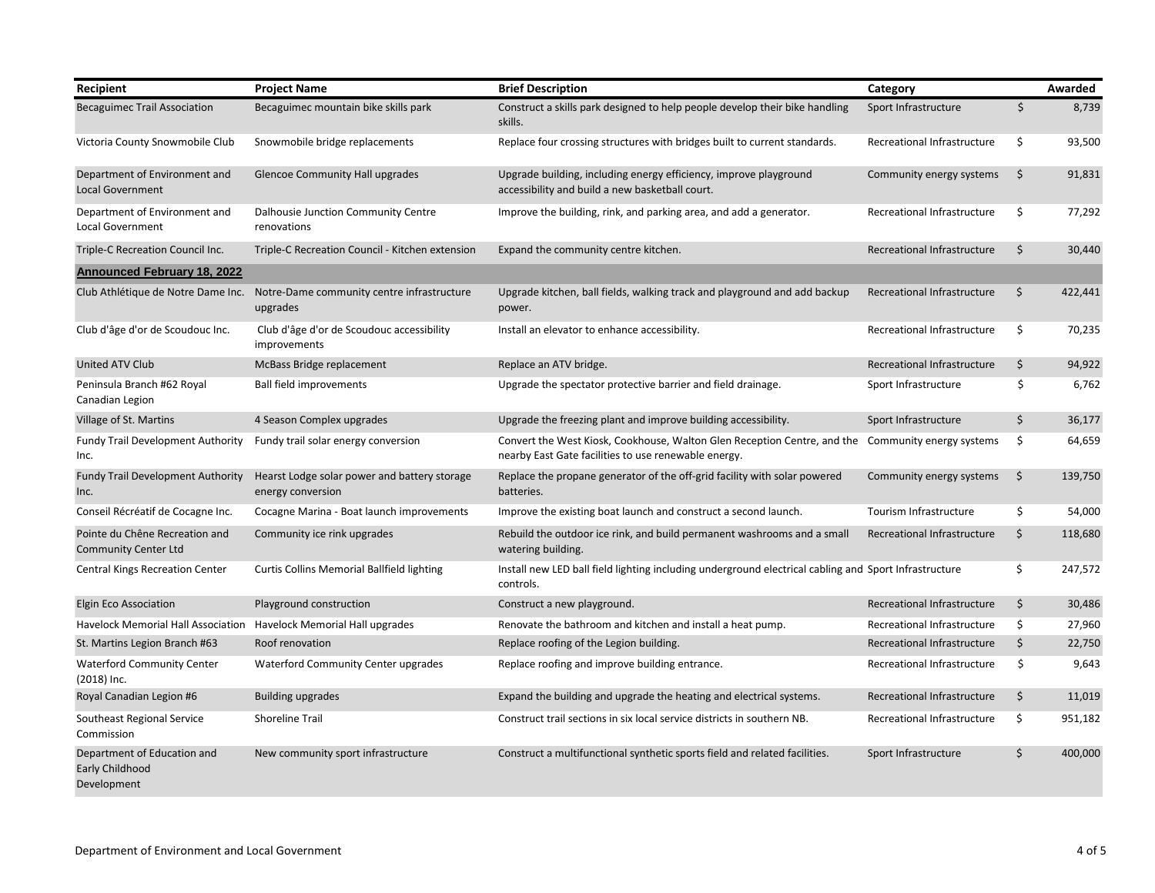| Recipient                                                     | <b>Project Name</b>                                               | <b>Brief Description</b>                                                                                                         | Category                    |    | Awarded |
|---------------------------------------------------------------|-------------------------------------------------------------------|----------------------------------------------------------------------------------------------------------------------------------|-----------------------------|----|---------|
| <b>Becaguimec Trail Association</b>                           | Becaguimec mountain bike skills park                              | Construct a skills park designed to help people develop their bike handling<br>skills.                                           | Sport Infrastructure        | \$ | 8,739   |
| Victoria County Snowmobile Club                               | Snowmobile bridge replacements                                    | Replace four crossing structures with bridges built to current standards.                                                        | Recreational Infrastructure | \$ | 93,500  |
| Department of Environment and<br>Local Government             | <b>Glencoe Community Hall upgrades</b>                            | Upgrade building, including energy efficiency, improve playground<br>accessibility and build a new basketball court.             | Community energy systems    | \$ | 91,831  |
| Department of Environment and<br>Local Government             | Dalhousie Junction Community Centre<br>renovations                | Improve the building, rink, and parking area, and add a generator.                                                               | Recreational Infrastructure | \$ | 77,292  |
| Triple-C Recreation Council Inc.                              | Triple-C Recreation Council - Kitchen extension                   | Expand the community centre kitchen.                                                                                             | Recreational Infrastructure | Ś  | 30,440  |
| <b>Announced February 18, 2022</b>                            |                                                                   |                                                                                                                                  |                             |    |         |
| Club Athlétique de Notre Dame Inc.                            | Notre-Dame community centre infrastructure<br>upgrades            | Upgrade kitchen, ball fields, walking track and playground and add backup<br>power.                                              | Recreational Infrastructure | \$ | 422,441 |
| Club d'âge d'or de Scoudouc Inc.                              | Club d'âge d'or de Scoudouc accessibility<br>improvements         | Install an elevator to enhance accessibility.                                                                                    | Recreational Infrastructure | \$ | 70,235  |
| United ATV Club                                               | McBass Bridge replacement                                         | Replace an ATV bridge.                                                                                                           | Recreational Infrastructure | \$ | 94,922  |
| Peninsula Branch #62 Royal<br>Canadian Legion                 | <b>Ball field improvements</b>                                    | Upgrade the spectator protective barrier and field drainage.                                                                     | Sport Infrastructure        | \$ | 6,762   |
| Village of St. Martins                                        | 4 Season Complex upgrades                                         | Upgrade the freezing plant and improve building accessibility.                                                                   | Sport Infrastructure        | \$ | 36,177  |
| <b>Fundy Trail Development Authority</b><br>Inc.              | Fundy trail solar energy conversion                               | Convert the West Kiosk, Cookhouse, Walton Glen Reception Centre, and the<br>nearby East Gate facilities to use renewable energy. | Community energy systems    | \$ | 64,659  |
| <b>Fundy Trail Development Authority</b><br>Inc.              | Hearst Lodge solar power and battery storage<br>energy conversion | Replace the propane generator of the off-grid facility with solar powered<br>batteries.                                          | Community energy systems    | \$ | 139,750 |
| Conseil Récréatif de Cocagne Inc.                             | Cocagne Marina - Boat launch improvements                         | Improve the existing boat launch and construct a second launch.                                                                  | Tourism Infrastructure      | \$ | 54,000  |
| Pointe du Chêne Recreation and<br><b>Community Center Ltd</b> | Community ice rink upgrades                                       | Rebuild the outdoor ice rink, and build permanent washrooms and a small<br>watering building.                                    | Recreational Infrastructure | \$ | 118,680 |
| Central Kings Recreation Center                               | <b>Curtis Collins Memorial Ballfield lighting</b>                 | Install new LED ball field lighting including underground electrical cabling and Sport Infrastructure<br>controls.               |                             | \$ | 247,572 |
| Elgin Eco Association                                         | Playground construction                                           | Construct a new playground.                                                                                                      | Recreational Infrastructure | \$ | 30,486  |
| Havelock Memorial Hall Association                            | Havelock Memorial Hall upgrades                                   | Renovate the bathroom and kitchen and install a heat pump.                                                                       | Recreational Infrastructure | \$ | 27,960  |
| St. Martins Legion Branch #63                                 | Roof renovation                                                   | Replace roofing of the Legion building.                                                                                          | Recreational Infrastructure | \$ | 22,750  |
| <b>Waterford Community Center</b><br>(2018) Inc.              | Waterford Community Center upgrades                               | Replace roofing and improve building entrance.                                                                                   | Recreational Infrastructure | \$ | 9,643   |
| Royal Canadian Legion #6                                      | <b>Building upgrades</b>                                          | Expand the building and upgrade the heating and electrical systems.                                                              | Recreational Infrastructure | \$ | 11,019  |
| Southeast Regional Service<br>Commission                      | <b>Shoreline Trail</b>                                            | Construct trail sections in six local service districts in southern NB.                                                          | Recreational Infrastructure | \$ | 951,182 |
| Department of Education and<br>Early Childhood<br>Development | New community sport infrastructure                                | Construct a multifunctional synthetic sports field and related facilities.                                                       | Sport Infrastructure        | \$ | 400,000 |